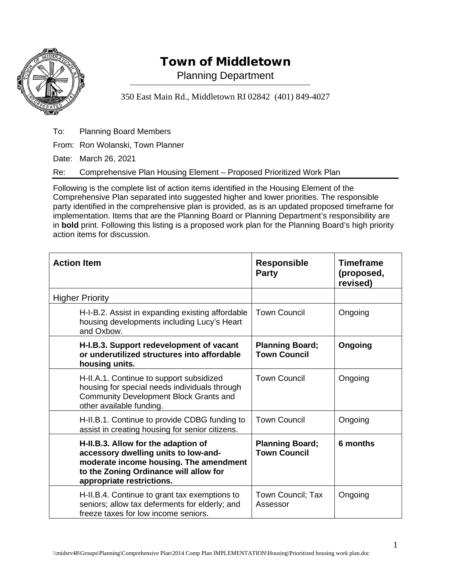

## Town of Middletown

Planning Department

350 East Main Rd., Middletown RI 02842 (401) 849-4027

To: Planning Board Members

From: Ron Wolanski, Town Planner

Date: March 26, 2021

Re: Comprehensive Plan Housing Element – Proposed Prioritized Work Plan

Following is the complete list of action items identified in the Housing Element of the Comprehensive Plan separated into suggested higher and lower priorities. The responsible party identified in the comprehensive plan is provided, as is an updated proposed timeframe for implementation. Items that are the Planning Board or Planning Department's responsibility are in **bold** print. Following this listing is a proposed work plan for the Planning Board's high priority action items for discussion.

| <b>Action Item</b>                                                                                                                                                                           | <b>Responsible</b><br><b>Party</b>            | <b>Timeframe</b><br>(proposed,<br>revised) |
|----------------------------------------------------------------------------------------------------------------------------------------------------------------------------------------------|-----------------------------------------------|--------------------------------------------|
| <b>Higher Priority</b>                                                                                                                                                                       |                                               |                                            |
| H-I-B.2. Assist in expanding existing affordable<br>housing developments including Lucy's Heart<br>and Oxbow.                                                                                | <b>Town Council</b>                           | Ongoing                                    |
| H-I.B.3. Support redevelopment of vacant<br>or underutilized structures into affordable<br>housing units.                                                                                    | <b>Planning Board;</b><br><b>Town Council</b> | Ongoing                                    |
| H-II.A.1. Continue to support subsidized<br>housing for special needs individuals through<br><b>Community Development Block Grants and</b><br>other available funding.                       | <b>Town Council</b>                           | Ongoing                                    |
| H-II.B.1. Continue to provide CDBG funding to<br>assist in creating housing for senior citizens.                                                                                             | <b>Town Council</b>                           | Ongoing                                    |
| H-II.B.3. Allow for the adaption of<br>accessory dwelling units to low-and-<br>moderate income housing. The amendment<br>to the Zoning Ordinance will allow for<br>appropriate restrictions. | <b>Planning Board;</b><br><b>Town Council</b> | 6 months                                   |
| H-II.B.4. Continue to grant tax exemptions to<br>seniors; allow tax deferments for elderly; and<br>freeze taxes for low income seniors.                                                      | Town Council; Tax<br>Assessor                 | Ongoing                                    |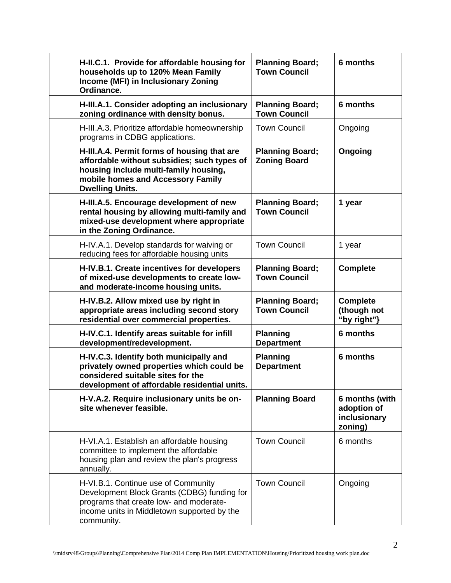| H-II.C.1. Provide for affordable housing for<br>households up to 120% Mean Family<br>Income (MFI) in Inclusionary Zoning<br>Ordinance.                                                             | <b>Planning Board;</b><br><b>Town Council</b> | 6 months                                                 |
|----------------------------------------------------------------------------------------------------------------------------------------------------------------------------------------------------|-----------------------------------------------|----------------------------------------------------------|
| H-III.A.1. Consider adopting an inclusionary<br>zoning ordinance with density bonus.                                                                                                               | <b>Planning Board;</b><br><b>Town Council</b> | 6 months                                                 |
| H-III.A.3. Prioritize affordable homeownership<br>programs in CDBG applications.                                                                                                                   | <b>Town Council</b>                           | Ongoing                                                  |
| H-III.A.4. Permit forms of housing that are<br>affordable without subsidies; such types of<br>housing include multi-family housing,<br>mobile homes and Accessory Family<br><b>Dwelling Units.</b> | <b>Planning Board;</b><br><b>Zoning Board</b> | Ongoing                                                  |
| H-III.A.5. Encourage development of new<br>rental housing by allowing multi-family and<br>mixed-use development where appropriate<br>in the Zoning Ordinance.                                      | <b>Planning Board;</b><br><b>Town Council</b> | 1 year                                                   |
| H-IV.A.1. Develop standards for waiving or<br>reducing fees for affordable housing units                                                                                                           | <b>Town Council</b>                           | 1 year                                                   |
| H-IV.B.1. Create incentives for developers<br>of mixed-use developments to create low-<br>and moderate-income housing units.                                                                       | <b>Planning Board;</b><br><b>Town Council</b> | <b>Complete</b>                                          |
| H-IV.B.2. Allow mixed use by right in<br>appropriate areas including second story<br>residential over commercial properties.                                                                       | <b>Planning Board;</b><br><b>Town Council</b> | <b>Complete</b><br>(though not<br>"by right"}            |
| H-IV.C.1. Identify areas suitable for infill<br>development/redevelopment.                                                                                                                         | <b>Planning</b><br><b>Department</b>          | 6 months                                                 |
| H-IV.C.3. Identify both municipally and<br>privately owned properties which could be<br>considered suitable sites for the<br>development of affordable residential units.                          | <b>Planning</b><br><b>Department</b>          | 6 months                                                 |
| H-V.A.2. Require inclusionary units be on-<br>site whenever feasible.                                                                                                                              | <b>Planning Board</b>                         | 6 months (with<br>adoption of<br>inclusionary<br>zoning) |
| H-VI.A.1. Establish an affordable housing<br>committee to implement the affordable<br>housing plan and review the plan's progress<br>annually.                                                     | <b>Town Council</b>                           | 6 months                                                 |
| H-VI.B.1. Continue use of Community<br>Development Block Grants (CDBG) funding for<br>programs that create low- and moderate-<br>income units in Middletown supported by the<br>community.         | <b>Town Council</b>                           | Ongoing                                                  |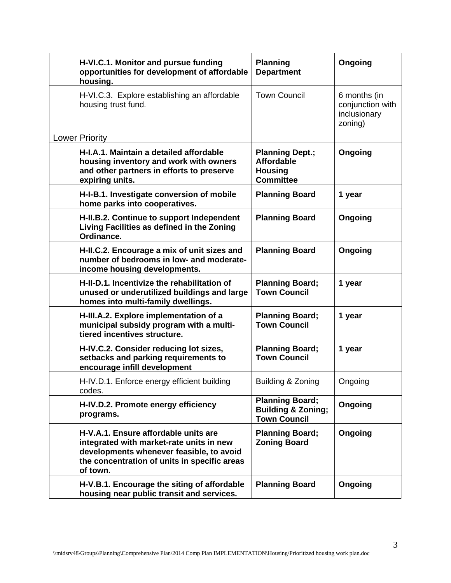| H-VI.C.1. Monitor and pursue funding<br>opportunities for development of affordable<br>housing.                                                                                          | <b>Planning</b><br><b>Department</b>                                              | Ongoing                                                     |
|------------------------------------------------------------------------------------------------------------------------------------------------------------------------------------------|-----------------------------------------------------------------------------------|-------------------------------------------------------------|
| H-VI.C.3. Explore establishing an affordable<br>housing trust fund.                                                                                                                      | <b>Town Council</b>                                                               | 6 months (in<br>conjunction with<br>inclusionary<br>zoning) |
| <b>Lower Priority</b>                                                                                                                                                                    |                                                                                   |                                                             |
| H-I.A.1. Maintain a detailed affordable<br>housing inventory and work with owners<br>and other partners in efforts to preserve<br>expiring units.                                        | <b>Planning Dept.;</b><br><b>Affordable</b><br><b>Housing</b><br><b>Committee</b> | Ongoing                                                     |
| H-I-B.1. Investigate conversion of mobile<br>home parks into cooperatives.                                                                                                               | <b>Planning Board</b>                                                             | 1 year                                                      |
| H-II.B.2. Continue to support Independent<br>Living Facilities as defined in the Zoning<br>Ordinance.                                                                                    | <b>Planning Board</b>                                                             | Ongoing                                                     |
| H-II.C.2. Encourage a mix of unit sizes and<br>number of bedrooms in low- and moderate-<br>income housing developments.                                                                  | <b>Planning Board</b>                                                             | Ongoing                                                     |
| H-II-D.1. Incentivize the rehabilitation of<br>unused or underutilized buildings and large<br>homes into multi-family dwellings.                                                         | <b>Planning Board;</b><br><b>Town Council</b>                                     | 1 year                                                      |
| H-III.A.2. Explore implementation of a<br>municipal subsidy program with a multi-<br>tiered incentives structure.                                                                        | <b>Planning Board;</b><br><b>Town Council</b>                                     | 1 year                                                      |
| H-IV.C.2. Consider reducing lot sizes,<br>setbacks and parking requirements to<br>encourage infill development                                                                           | <b>Planning Board;</b><br><b>Town Council</b>                                     | 1 year                                                      |
| H-IV.D.1. Enforce energy efficient building<br>codes.                                                                                                                                    | Building & Zoning                                                                 | Ongoing                                                     |
| H-IV.D.2. Promote energy efficiency<br>programs.                                                                                                                                         | <b>Planning Board;</b><br><b>Building &amp; Zoning;</b><br><b>Town Council</b>    | Ongoing                                                     |
| H-V.A.1. Ensure affordable units are<br>integrated with market-rate units in new<br>developments whenever feasible, to avoid<br>the concentration of units in specific areas<br>of town. | <b>Planning Board;</b><br><b>Zoning Board</b>                                     | Ongoing                                                     |
| H-V.B.1. Encourage the siting of affordable<br>housing near public transit and services.                                                                                                 | <b>Planning Board</b>                                                             | Ongoing                                                     |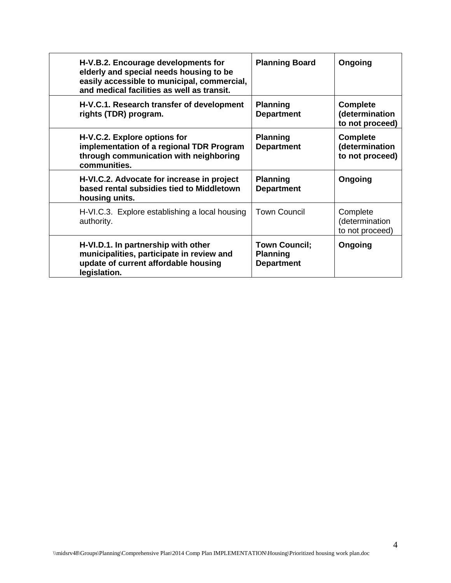| H-V.B.2. Encourage developments for<br>elderly and special needs housing to be<br>easily accessible to municipal, commercial,<br>and medical facilities as well as transit. | <b>Planning Board</b>                                        | Ongoing                                              |
|-----------------------------------------------------------------------------------------------------------------------------------------------------------------------------|--------------------------------------------------------------|------------------------------------------------------|
| H-V.C.1. Research transfer of development<br>rights (TDR) program.                                                                                                          | <b>Planning</b><br><b>Department</b>                         | <b>Complete</b><br>(determination<br>to not proceed) |
| H-V.C.2. Explore options for<br>implementation of a regional TDR Program<br>through communication with neighboring<br>communities.                                          | <b>Planning</b><br><b>Department</b>                         | <b>Complete</b><br>(determination<br>to not proceed) |
| H-VI.C.2. Advocate for increase in project<br>based rental subsidies tied to Middletown<br>housing units.                                                                   | <b>Planning</b><br><b>Department</b>                         | Ongoing                                              |
| H-VI.C.3. Explore establishing a local housing<br>authority.                                                                                                                | <b>Town Council</b>                                          | Complete<br>(determination<br>to not proceed)        |
| H-VI.D.1. In partnership with other<br>municipalities, participate in review and<br>update of current affordable housing<br>legislation.                                    | <b>Town Council;</b><br><b>Planning</b><br><b>Department</b> | Ongoing                                              |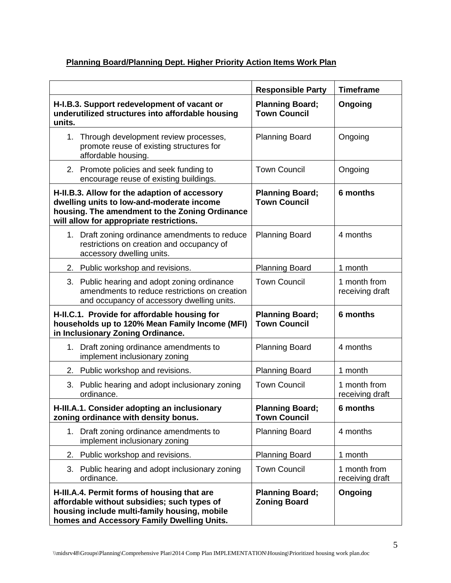## **Planning Board/Planning Dept. Higher Priority Action Items Work Plan**

|                                                                                                                                                                                          | <b>Responsible Party</b>                      | <b>Timeframe</b>                |
|------------------------------------------------------------------------------------------------------------------------------------------------------------------------------------------|-----------------------------------------------|---------------------------------|
| H-I.B.3. Support redevelopment of vacant or<br>underutilized structures into affordable housing<br>units.                                                                                | <b>Planning Board;</b><br><b>Town Council</b> | Ongoing                         |
| 1.<br>Through development review processes,<br>promote reuse of existing structures for<br>affordable housing.                                                                           | <b>Planning Board</b>                         | Ongoing                         |
| 2. Promote policies and seek funding to<br>encourage reuse of existing buildings.                                                                                                        | <b>Town Council</b>                           | Ongoing                         |
| H-II.B.3. Allow for the adaption of accessory<br>dwelling units to low-and-moderate income<br>housing. The amendment to the Zoning Ordinance<br>will allow for appropriate restrictions. | <b>Planning Board;</b><br><b>Town Council</b> | 6 months                        |
| Draft zoning ordinance amendments to reduce<br>$1_{\cdot}$<br>restrictions on creation and occupancy of<br>accessory dwelling units.                                                     | <b>Planning Board</b>                         | 4 months                        |
| 2.<br>Public workshop and revisions.                                                                                                                                                     | <b>Planning Board</b>                         | 1 month                         |
| 3. Public hearing and adopt zoning ordinance<br>amendments to reduce restrictions on creation<br>and occupancy of accessory dwelling units.                                              | <b>Town Council</b>                           | 1 month from<br>receiving draft |
| H-II.C.1. Provide for affordable housing for<br>households up to 120% Mean Family Income (MFI)<br>in Inclusionary Zoning Ordinance.                                                      | <b>Planning Board;</b><br><b>Town Council</b> | 6 months                        |
| 1.<br>Draft zoning ordinance amendments to<br>implement inclusionary zoning                                                                                                              | <b>Planning Board</b>                         | 4 months                        |
| Public workshop and revisions.<br>2.                                                                                                                                                     | <b>Planning Board</b>                         | 1 month                         |
| 3. Public hearing and adopt inclusionary zoning<br>ordinance.                                                                                                                            | <b>Town Council</b>                           | 1 month from<br>receiving draft |
| H-III.A.1. Consider adopting an inclusionary<br>zoning ordinance with density bonus.                                                                                                     | <b>Planning Board:</b><br><b>Town Council</b> | 6 months                        |
| Draft zoning ordinance amendments to<br>1.<br>implement inclusionary zoning                                                                                                              | <b>Planning Board</b>                         | 4 months                        |
| Public workshop and revisions.<br>2.                                                                                                                                                     | <b>Planning Board</b>                         | 1 month                         |
| 3.<br>Public hearing and adopt inclusionary zoning<br>ordinance.                                                                                                                         | <b>Town Council</b>                           | 1 month from<br>receiving draft |
| H-III.A.4. Permit forms of housing that are<br>affordable without subsidies; such types of<br>housing include multi-family housing, mobile<br>homes and Accessory Family Dwelling Units. | <b>Planning Board;</b><br><b>Zoning Board</b> | Ongoing                         |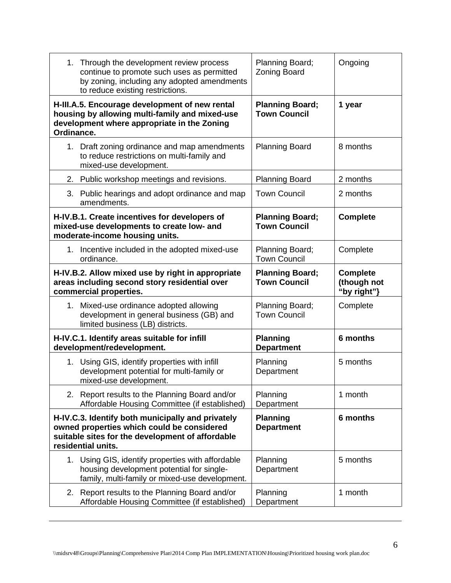| 1. Through the development review process<br>continue to promote such uses as permitted<br>by zoning, including any adopted amendments<br>to reduce existing restrictions. | Planning Board;<br><b>Zoning Board</b>        | Ongoing                                       |
|----------------------------------------------------------------------------------------------------------------------------------------------------------------------------|-----------------------------------------------|-----------------------------------------------|
| H-III.A.5. Encourage development of new rental<br>housing by allowing multi-family and mixed-use<br>development where appropriate in the Zoning<br>Ordinance.              | <b>Planning Board;</b><br><b>Town Council</b> | 1 year                                        |
| Draft zoning ordinance and map amendments<br>1.<br>to reduce restrictions on multi-family and<br>mixed-use development.                                                    | <b>Planning Board</b>                         | 8 months                                      |
| Public workshop meetings and revisions.<br>2.                                                                                                                              | <b>Planning Board</b>                         | 2 months                                      |
| 3. Public hearings and adopt ordinance and map<br>amendments.                                                                                                              | <b>Town Council</b>                           | 2 months                                      |
| H-IV.B.1. Create incentives for developers of<br>mixed-use developments to create low- and<br>moderate-income housing units.                                               | <b>Planning Board;</b><br><b>Town Council</b> | <b>Complete</b>                               |
| 1. Incentive included in the adopted mixed-use<br>ordinance.                                                                                                               | Planning Board;<br><b>Town Council</b>        | Complete                                      |
| H-IV.B.2. Allow mixed use by right in appropriate<br>areas including second story residential over<br>commercial properties.                                               | <b>Planning Board;</b><br><b>Town Council</b> | <b>Complete</b><br>(though not<br>"by right"} |
| 1.<br>Mixed-use ordinance adopted allowing<br>development in general business (GB) and<br>limited business (LB) districts.                                                 | Planning Board;<br><b>Town Council</b>        | Complete                                      |
| H-IV.C.1. Identify areas suitable for infill<br>development/redevelopment.                                                                                                 | <b>Planning</b><br><b>Department</b>          | 6 months                                      |
| 1. Using GIS, identify properties with infill<br>development potential for multi-family or<br>mixed-use development.                                                       | Planning<br>Department                        | 5 months                                      |
| 2. Report results to the Planning Board and/or<br>Affordable Housing Committee (if established)                                                                            | Planning<br>Department                        | 1 month                                       |
| H-IV.C.3. Identify both municipally and privately<br>owned properties which could be considered<br>suitable sites for the development of affordable<br>residential units.  | <b>Planning</b><br><b>Department</b>          | 6 months                                      |
| 1. Using GIS, identify properties with affordable<br>housing development potential for single-<br>family, multi-family or mixed-use development.                           | Planning<br>Department                        | 5 months                                      |
| Report results to the Planning Board and/or<br>2.<br>Affordable Housing Committee (if established)                                                                         | Planning<br>Department                        | 1 month                                       |